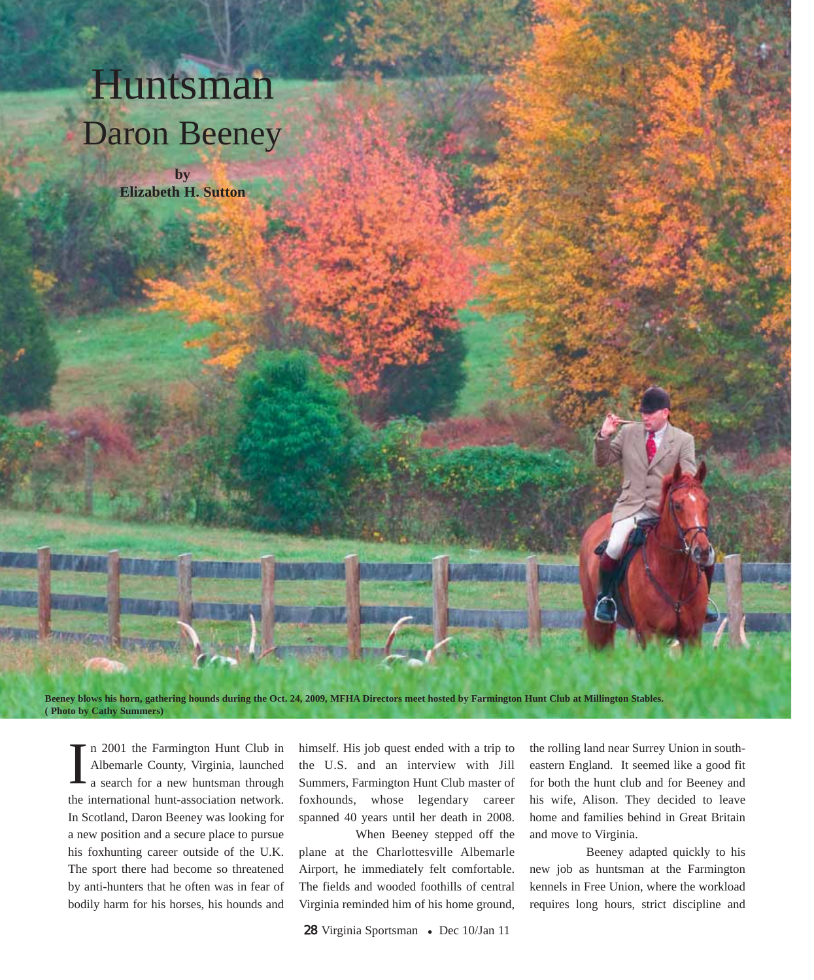## Huntsman Daron Beeney

**by Elizabeth H. Sutton**

**Beeney blows his horn, gathering hounds during the Oct. 24, 2009, MFHA Directors meet hosted by Farmington Hunt Club at Millington Stables. ( Photo by Cathy Summers)**

n 2001 the Farmington Hunt Club in Albemarle County, Virginia, launched a search for a new huntsman through the international hunt-association network. In Scotland, Daron Beeney was looking for a new position and a secure place to pursue his foxhunting career outside of the U.K. The sport there had become so threatened by anti-hunters that he often was in fear of bodily harm for his horses, his hounds and I

himself. His job quest ended with a trip to the U.S. and an interview with Jill Summers, Farmington Hunt Club master of foxhounds, whose legendary career spanned 40 years until her death in 2008.

When Beeney stepped off the plane at the Charlottesville Albemarle Airport, he immediately felt comfortable. The fields and wooded foothills of central Virginia reminded him of his home ground,

the rolling land near Surrey Union in southeastern England. It seemed like a good fit for both the hunt club and for Beeney and his wife, Alison. They decided to leave home and families behind in Great Britain and move to Virginia.

Beeney adapted quickly to his new job as huntsman at the Farmington kennels in Free Union, where the workload requires long hours, strict discipline and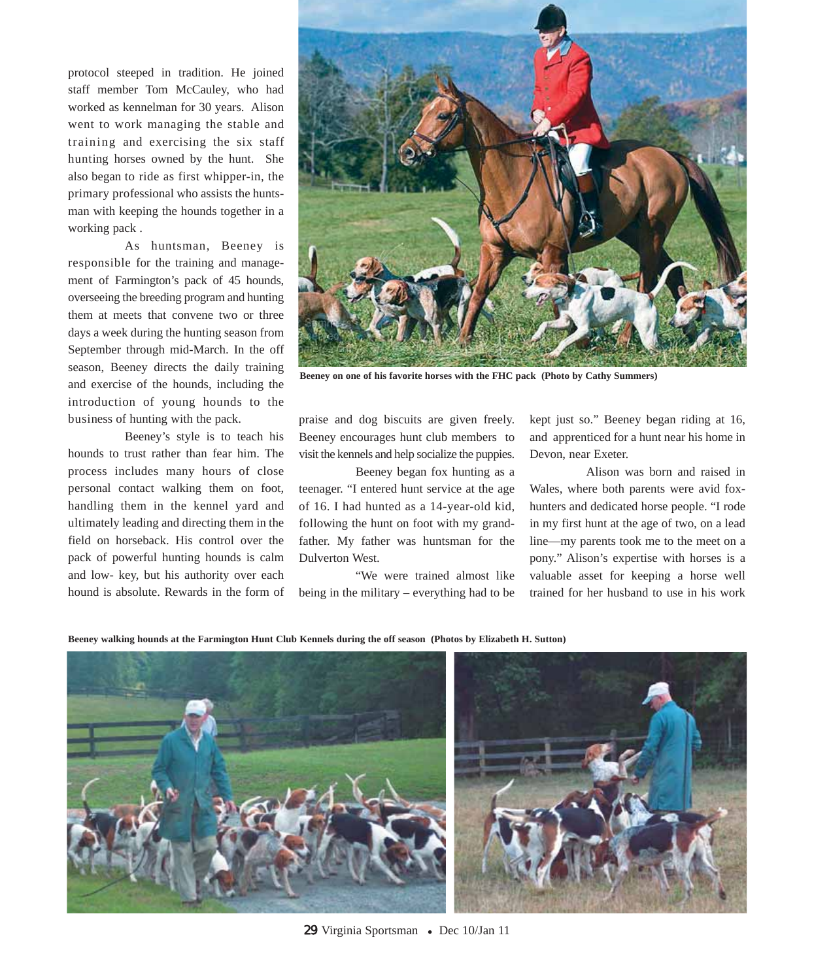protocol steeped in tradition. He joined staff member Tom McCauley, who had worked as kennelman for 30 years. Alison went to work managing the stable and training and exercising the six staff hunting horses owned by the hunt. She also began to ride as first whipper-in, the primary professional who assists the huntsman with keeping the hounds together in a working pack .

As huntsman, Beeney is responsible for the training and management of Farmington's pack of 45 hounds, overseeing the breeding program and hunting them at meets that convene two or three days a week during the hunting season from September through mid-March. In the off season, Beeney directs the daily training and exercise of the hounds, including the introduction of young hounds to the business of hunting with the pack.

Beeney's style is to teach his hounds to trust rather than fear him. The process includes many hours of close personal contact walking them on foot, handling them in the kennel yard and ultimately leading and directing them in the field on horseback. His control over the pack of powerful hunting hounds is calm and low- key, but his authority over each hound is absolute. Rewards in the form of



**Beeney on one of his favorite horses with the FHC pack (Photo by Cathy Summers)** 

praise and dog biscuits are given freely. Beeney encourages hunt club members to visit the kennels and help socialize the puppies.

Beeney began fox hunting as a teenager. "I entered hunt service at the age of 16. I had hunted as a 14-year-old kid, following the hunt on foot with my grandfather. My father was huntsman for the Dulverton West.

"We were trained almost like being in the military – everything had to be kept just so." Beeney began riding at 16, and apprenticed for a hunt near his home in Devon, near Exeter.

Alison was born and raised in Wales, where both parents were avid foxhunters and dedicated horse people. "I rode in my first hunt at the age of two, on a lead line—my parents took me to the meet on a pony." Alison's expertise with horses is a valuable asset for keeping a horse well trained for her husband to use in his work

**Beeney walking hounds at the Farmington Hunt Club Kennels during the off season (Photos by Elizabeth H. Sutton)**

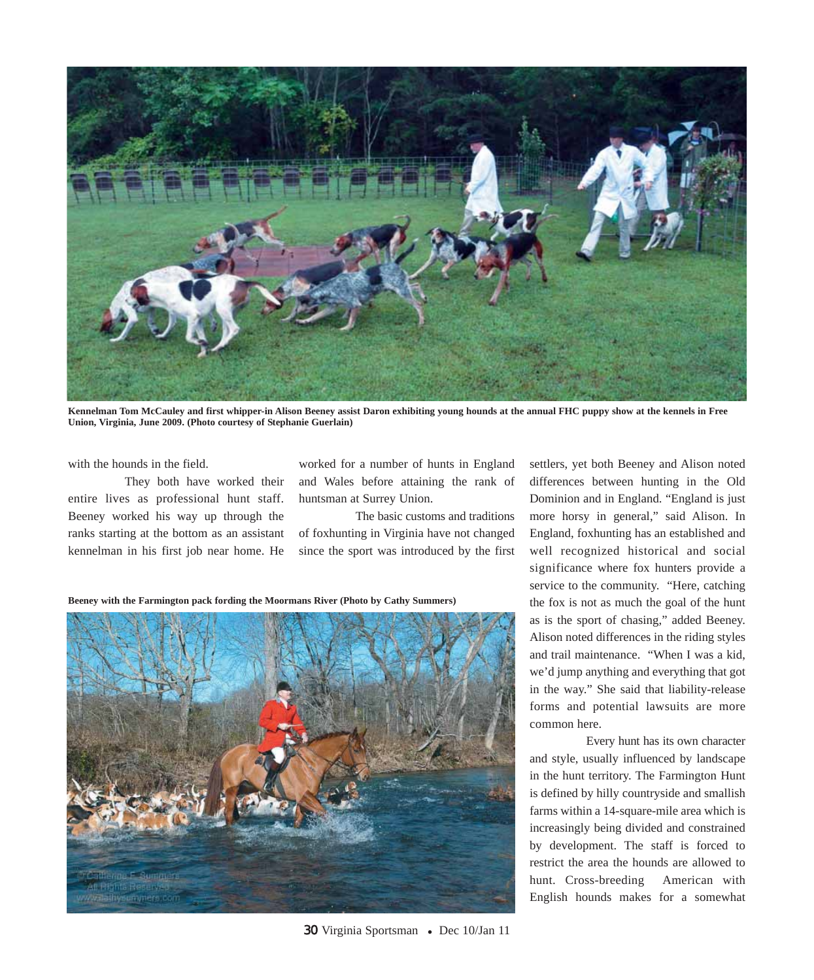

**Kennelman Tom McCauley and first whipper-in Alison Beeney assist Daron exhibiting young hounds at the annual FHC puppy show at the kennels in Free Union, Virginia, June 2009. (Photo courtesy of Stephanie Guerlain)**

with the hounds in the field.

They both have worked their entire lives as professional hunt staff. Beeney worked his way up through the ranks starting at the bottom as an assistant kennelman in his first job near home. He

worked for a number of hunts in England and Wales before attaining the rank of huntsman at Surrey Union.

The basic customs and traditions of foxhunting in Virginia have not changed since the sport was introduced by the first

**Beeney with the Farmington pack fording the Moormans River (Photo by Cathy Summers)**



settlers, yet both Beeney and Alison noted differences between hunting in the Old Dominion and in England. "England is just more horsy in general," said Alison. In England, foxhunting has an established and well recognized historical and social significance where fox hunters provide a service to the community. "Here, catching the fox is not as much the goal of the hunt as is the sport of chasing," added Beeney. Alison noted differences in the riding styles and trail maintenance. "When I was a kid, we'd jump anything and everything that got in the way." She said that liability-release forms and potential lawsuits are more common here.

Every hunt has its own character and style, usually influenced by landscape in the hunt territory. The Farmington Hunt is defined by hilly countryside and smallish farms within a 14-square-mile area which is increasingly being divided and constrained by development. The staff is forced to restrict the area the hounds are allowed to hunt. Cross-breeding American with English hounds makes for a somewhat

30 Virginia Sportsman • Dec 10/Jan 11